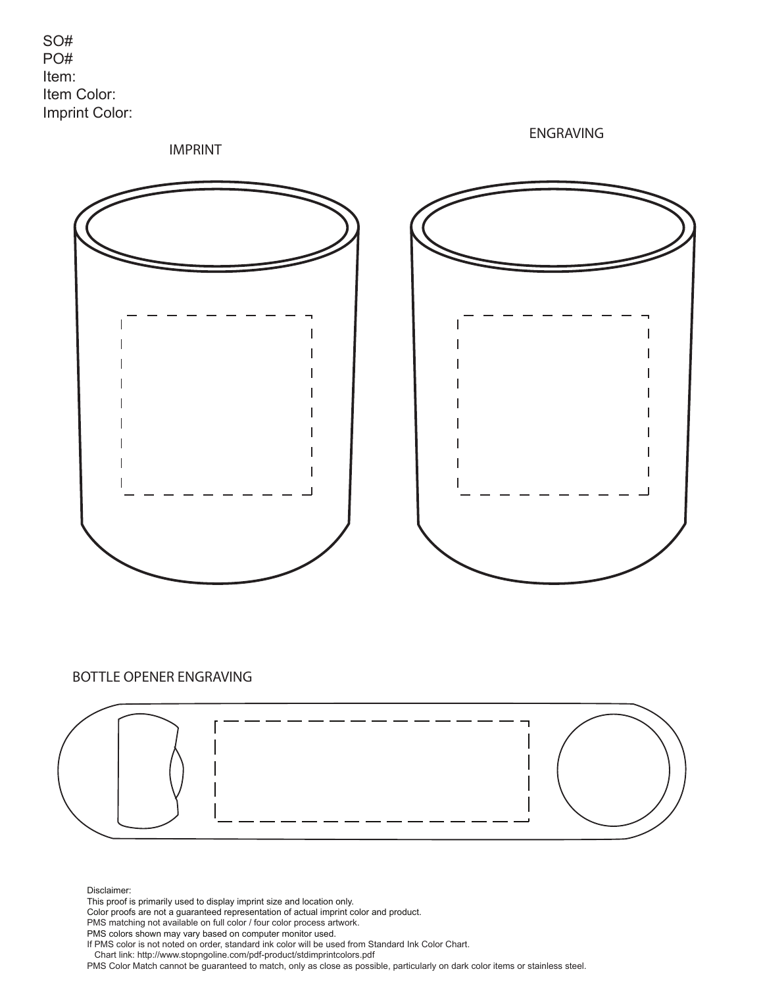

ENGRAVING

IMPRINT



## BOTTLE OPENER ENGRAVING



Disclaimer:

This proof is primarily used to display imprint size and location only.

Color proofs are not a guaranteed representation of actual imprint color and product.

PMS matching not available on full color / four color process artwork.

PMS colors shown may vary based on computer monitor used.

If PMS color is not noted on order, standard ink color will be used from Standard Ink Color Chart.

Chart link: http://www.stopngoline.com/pdf-product/stdimprintcolors.pdf

PMS Color Match cannot be guaranteed to match, only as close as possible, particularly on dark color items or stainless steel.